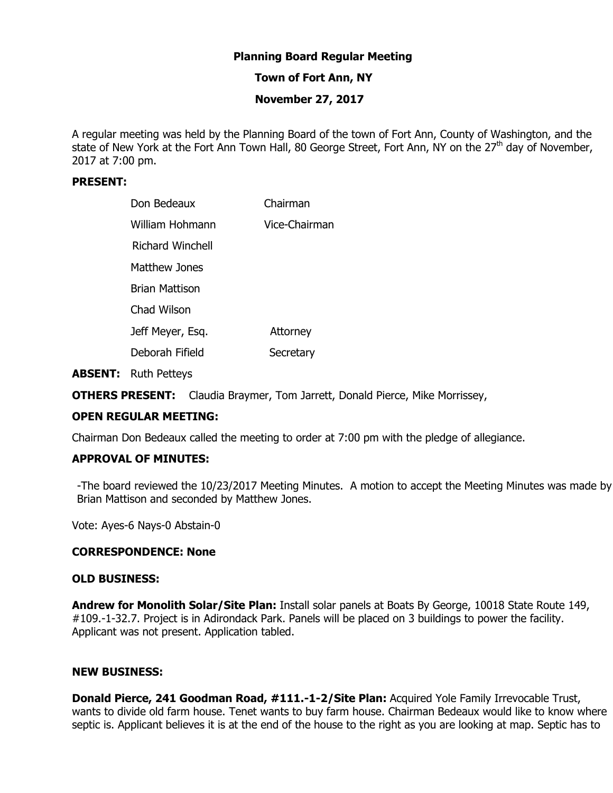# **Planning Board Regular Meeting**

# **Town of Fort Ann, NY**

# **November 27, 2017**

A regular meeting was held by the Planning Board of the town of Fort Ann, County of Washington, and the state of New York at the Fort Ann Town Hall, 80 George Street, Fort Ann, NY on the 27<sup>th</sup> day of November, 2017 at 7:00 pm.

### **PRESENT:**

| Don Bedeaux      | Chairman      |
|------------------|---------------|
| William Hohmann  | Vice-Chairman |
| Richard Winchell |               |
| Matthew Jones    |               |
| Brian Mattison   |               |
| Chad Wilson      |               |
| Jeff Meyer, Esq. | Attorney      |
| Deborah Fifield  | Secretary     |

**ABSENT:** Ruth Petteys

**OTHERS PRESENT:** Claudia Braymer, Tom Jarrett, Donald Pierce, Mike Morrissey,

### **OPEN REGULAR MEETING:**

Chairman Don Bedeaux called the meeting to order at 7:00 pm with the pledge of allegiance.

# **APPROVAL OF MINUTES:**

-The board reviewed the 10/23/2017 Meeting Minutes. A motion to accept the Meeting Minutes was made by Brian Mattison and seconded by Matthew Jones.

Vote: Ayes-6 Nays-0 Abstain-0

### **CORRESPONDENCE: None**

### **OLD BUSINESS:**

**Andrew for Monolith Solar/Site Plan:** Install solar panels at Boats By George, 10018 State Route 149, #109.-1-32.7. Project is in Adirondack Park. Panels will be placed on 3 buildings to power the facility. Applicant was not present. Application tabled.

### **NEW BUSINESS:**

**Donald Pierce, 241 Goodman Road, #111.-1-2/Site Plan:** Acquired Yole Family Irrevocable Trust, wants to divide old farm house. Tenet wants to buy farm house. Chairman Bedeaux would like to know where septic is. Applicant believes it is at the end of the house to the right as you are looking at map. Septic has to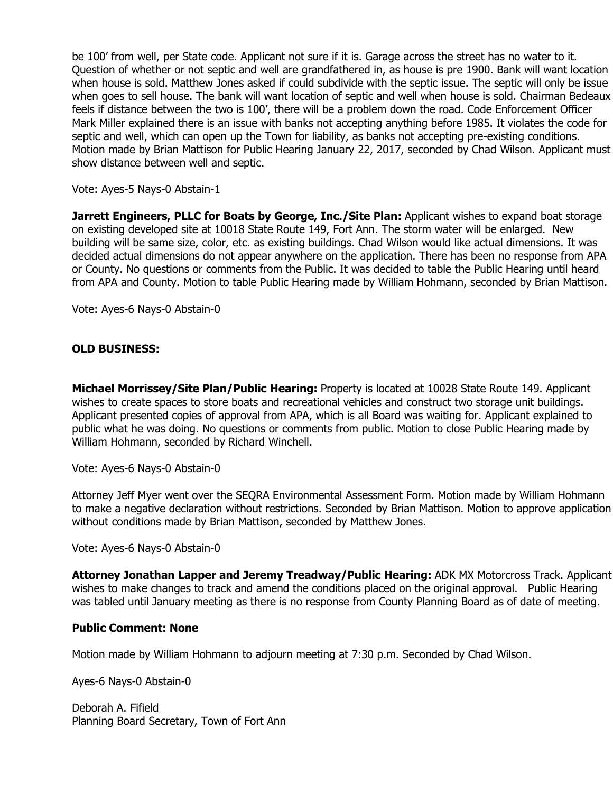be 100' from well, per State code. Applicant not sure if it is. Garage across the street has no water to it. Question of whether or not septic and well are grandfathered in, as house is pre 1900. Bank will want location when house is sold. Matthew Jones asked if could subdivide with the septic issue. The septic will only be issue when goes to sell house. The bank will want location of septic and well when house is sold. Chairman Bedeaux feels if distance between the two is 100', there will be a problem down the road. Code Enforcement Officer Mark Miller explained there is an issue with banks not accepting anything before 1985. It violates the code for septic and well, which can open up the Town for liability, as banks not accepting pre-existing conditions. Motion made by Brian Mattison for Public Hearing January 22, 2017, seconded by Chad Wilson. Applicant must show distance between well and septic.

Vote: Ayes-5 Nays-0 Abstain-1

**Jarrett Engineers, PLLC for Boats by George, Inc./Site Plan: Applicant wishes to expand boat storage** on existing developed site at 10018 State Route 149, Fort Ann. The storm water will be enlarged. New building will be same size, color, etc. as existing buildings. Chad Wilson would like actual dimensions. It was decided actual dimensions do not appear anywhere on the application. There has been no response from APA or County. No questions or comments from the Public. It was decided to table the Public Hearing until heard from APA and County. Motion to table Public Hearing made by William Hohmann, seconded by Brian Mattison.

Vote: Ayes-6 Nays-0 Abstain-0

# **OLD BUSINESS:**

**Michael Morrissey/Site Plan/Public Hearing:** Property is located at 10028 State Route 149. Applicant wishes to create spaces to store boats and recreational vehicles and construct two storage unit buildings. Applicant presented copies of approval from APA, which is all Board was waiting for. Applicant explained to public what he was doing. No questions or comments from public. Motion to close Public Hearing made by William Hohmann, seconded by Richard Winchell.

Vote: Ayes-6 Nays-0 Abstain-0

Attorney Jeff Myer went over the SEQRA Environmental Assessment Form. Motion made by William Hohmann to make a negative declaration without restrictions. Seconded by Brian Mattison. Motion to approve application without conditions made by Brian Mattison, seconded by Matthew Jones.

Vote: Ayes-6 Nays-0 Abstain-0

**Attorney Jonathan Lapper and Jeremy Treadway/Public Hearing:** ADK MX Motorcross Track. Applicant wishes to make changes to track and amend the conditions placed on the original approval. Public Hearing was tabled until January meeting as there is no response from County Planning Board as of date of meeting.

### **Public Comment: None**

Motion made by William Hohmann to adjourn meeting at 7:30 p.m. Seconded by Chad Wilson.

Ayes-6 Nays-0 Abstain-0

Deborah A. Fifield Planning Board Secretary, Town of Fort Ann